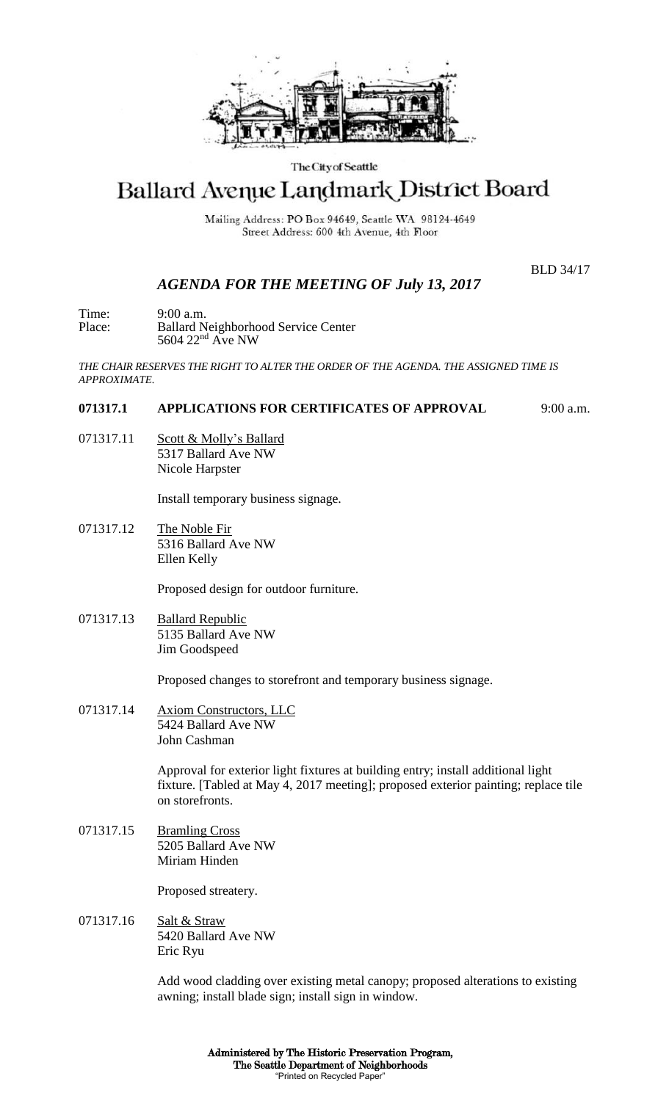

### The City of Seattle

# Ballard Avenue Landmark District Board

Mailing Address: PO Box 94649, Seattle WA 98124-4649 Street Address: 600 4th Avenue, 4th Floor

BLD 34/17

# *AGENDA FOR THE MEETING OF July 13, 2017*

Time: 9:00 a.m. Place: Ballard Neighborhood Service Center 5604 22<sup>nd</sup> Ave NW

*THE CHAIR RESERVES THE RIGHT TO ALTER THE ORDER OF THE AGENDA. THE ASSIGNED TIME IS APPROXIMATE.*

## **071317.1 APPLICATIONS FOR CERTIFICATES OF APPROVAL** 9:00 a.m.

071317.11 Scott & Molly's Ballard 5317 Ballard Ave NW Nicole Harpster

Install temporary business signage.

071317.12 The Noble Fir 5316 Ballard Ave NW Ellen Kelly

Proposed design for outdoor furniture.

071317.13 Ballard Republic 5135 Ballard Ave NW Jim Goodspeed

Proposed changes to storefront and temporary business signage.

071317.14 Axiom Constructors, LLC 5424 Ballard Ave NW John Cashman

> Approval for exterior light fixtures at building entry; install additional light fixture. [Tabled at May 4, 2017 meeting]; proposed exterior painting; replace tile on storefronts.

071317.15 Bramling Cross 5205 Ballard Ave NW Miriam Hinden

Proposed streatery.

071317.16 Salt & Straw 5420 Ballard Ave NW Eric Ryu

> Add wood cladding over existing metal canopy; proposed alterations to existing awning; install blade sign; install sign in window.